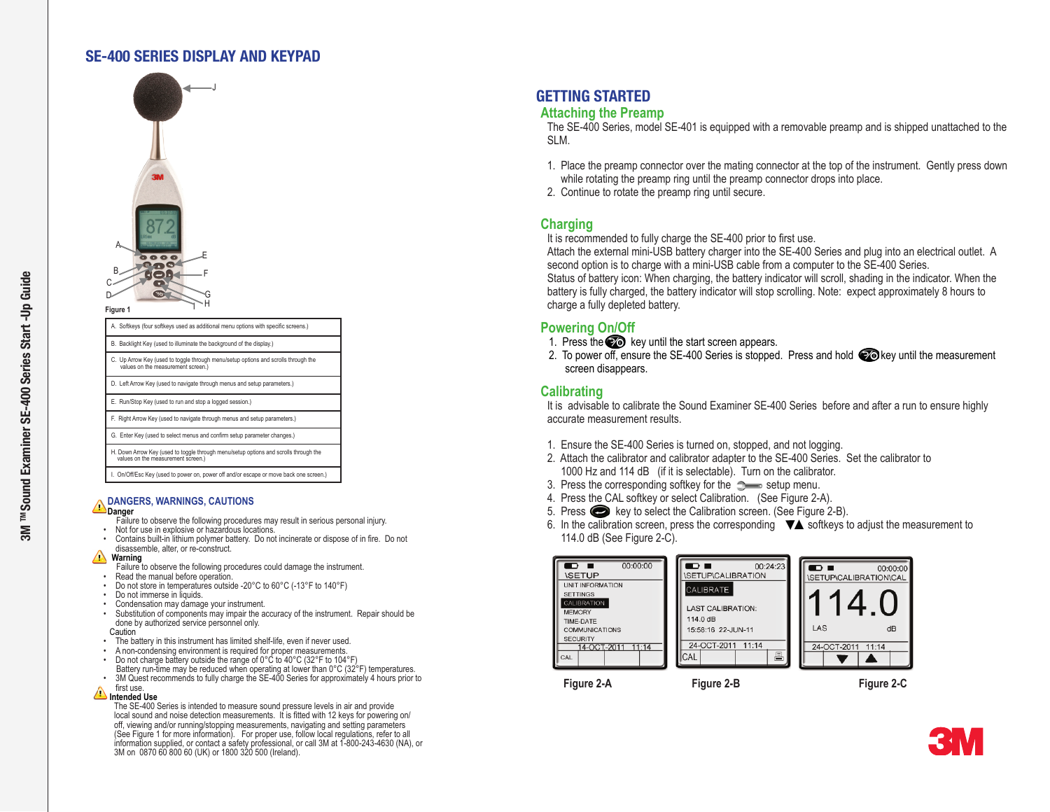### SE-400 SERIES DISPLAY AND KEYPAD



**Figure 1**

| A. Softkeys (four softkeys used as additional menu options with specific screens.)                                         |
|----------------------------------------------------------------------------------------------------------------------------|
| B. Backlight Key (used to illuminate the background of the display.)                                                       |
| C. Up Arrow Key (used to toggle through menu/setup options and scrolls through the<br>values on the measurement screen.)   |
| D. Left Arrow Key (used to navigate through menus and setup parameters.)                                                   |
| E. Run/Stop Key (used to run and stop a logged session.)                                                                   |
| F. Right Arrow Key (used to navigate through menus and setup parameters.)                                                  |
| G. Enter Key (used to select menus and confirm setup parameter changes.)                                                   |
| H. Down Arrow Key (used to toggle through menu/setup options and scrolls through the<br>values on the measurement screen.) |
| I. On/Off/Esc Key (used to power on, power off and/or escape or move back one screen.)                                     |
|                                                                                                                            |

### **DANGERS, WARNINGS, CAUTIONS**

- 
- **Danger**<br>Failure to observe the following procedures may result in serious personal injury.
- 
- Not for use in explosive or hazardous locations.<br>• Contains built-in lithium polymer battery. Do not incinerate or dispose of in fire. Do not disassemble, alter, or re-construct.
- 
- **Warning**<br>Failure to observe the following procedures could damage the instrument.
- Read the manual before operation.<br>• Do not store in temperatures outside -20°C to 60°C (-13°F to 140°F)<br>• Do not immerse in liquids.<br>• Condensation may damage your instrument.
- 
- 
- •  Substitution of components may impair the accuracy of the instrument. Repair should be done by authorized service personnel only.
- **Caution**
- 
- The battery in this instrument has limited shelf-life, even if never used.<br>• A non-condensing environment is required for proper measurements.
- Do not charge battery outside the range of 0°C to  $40^{\circ}$ C (32°F to 104°F)<br>Battery run-time may be reduced when operating at lower than 0°C (32°F) temperatures. 3M Quest recommends to fully charge the SE-400 Series for approximately 4 hours prior to<br>first use
- 

**Allended Use** 

The SE-400 Series is intended to measure sound pressure levels in air and provide local sound and noise detection measurements. It is fitted with 12 keys for powering on/ off, viewing and/or running/stopping measurements, navigating and setting parameters (See Figure 1 for more information). For proper use, follow local regulations, refer to all information supplied, or contact a safety professional, or call 3M at 1-800-243-4630 (NA), or 3M on 0870 60 800 60 (UK) or 1800 320 500 (Ireland).

# GETTING STARTED

### **Attaching the Preamp**

The SE-400 Series, model SE-401 is equipped with a removable preamp and is shipped unattached to the SLM.

- 1. Place the preamp connector over the mating connector at the top of the instrument. Gently press down while rotating the preamp ring until the preamp connector drops into place.
- 2. Continue to rotate the preamp ring until secure.

### **Charging**

It is recommended to fully charge the SE-400 prior to first use.

Attach the external mini-USB battery charger into the SE-400 Series and plug into an electrical outlet. A second option is to charge with a mini-USB cable from a computer to the SE-400 Series. Status of battery icon: When charging, the battery indicator will scroll, shading in the indicator. When the battery is fully charged, the battery indicator will stop scrolling. Note: expect approximately 8 hours to charge a fully depleted battery.

### **Powering On/Off**

- 1. Press the  $\odot$  key until the start screen appears.
- 2. To power off, ensure the SE-400 Series is stopped. Press and hold  $\odot$  key until the measurement screen disappears.

### **Calibrating**

It is advisable to calibrate the Sound Examiner SE-400 Series before and after a run to ensure highly accurate measurement results.

- 1. Ensure the SE-400 Series is turned on, stopped, and not logging.
- 2. Attach the calibrator and calibrator adapter to the SE-400 Series. Set the calibrator to 1000 Hz and 114 dB (if it is selectable). Turn on the calibrator.
- 3. Press the corresponding softkey for the  $\mathbb{R}$  setup menu.
- 4. Press the CAL softkey or select Calibration. (See Figure 2-A).
- 5. Press  $\bullet\bullet\bullet$  key to select the Calibration screen. (See Figure 2-B).
- 6. In the calibration screen, press the corresponding  $\blacktriangledown$  softkeys to adjust the measurement to 114.0 dB (See Figure 2-C).